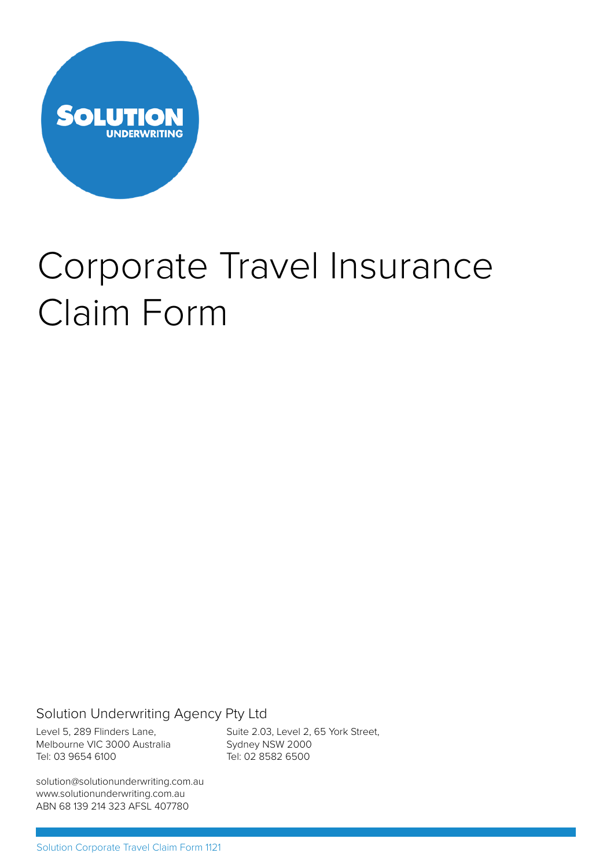

# Corporate Travel Insurance Claim Form

Solution Underwriting Agency Pty Ltd

Level 5, 289 Flinders Lane, Melbourne VIC 3000 Australia Tel: 03 9654 6100

Suite 2.03, Level 2, 65 York Street, Sydney NSW 2000 Tel: 02 8582 6500

solution@solutionunderwriting.com.au www.solutionunderwriting.com.au ABN 68 139 214 323 AFSL 407780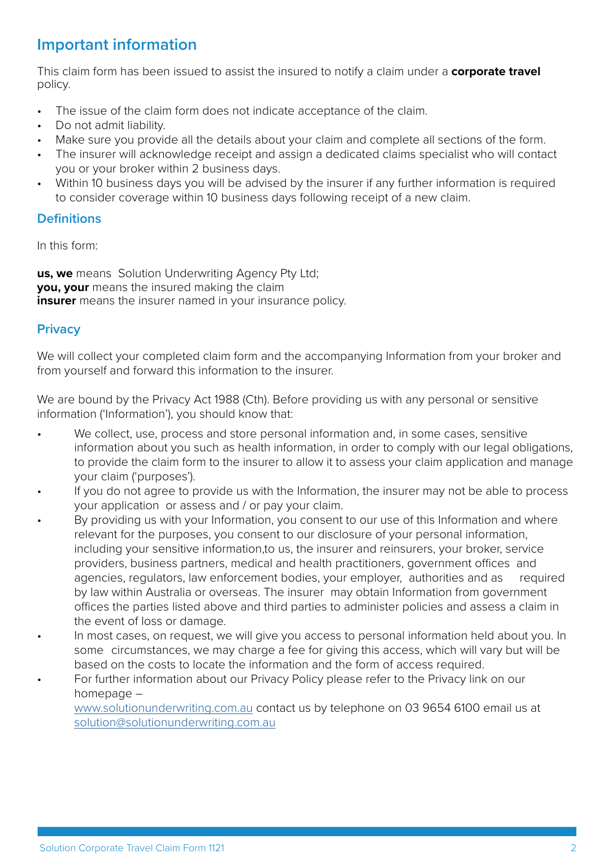# **Important information**

This claim form has been issued to assist the insured to notify a claim under a **corporate travel**  policy.

- The issue of the claim form does not indicate acceptance of the claim.
- Do not admit liability.
- Make sure you provide all the details about your claim and complete all sections of the form.
- The insurer will acknowledge receipt and assign a dedicated claims specialist who will contact you or your broker within 2 business days.
- Within 10 business days you will be advised by the insurer if any further information is required to consider coverage within 10 business days following receipt of a new claim.

#### **Definitions**

In this form:

**us, we** means Solution Underwriting Agency Pty Ltd: **you, your** means the insured making the claim **insurer** means the insurer named in your insurance policy.

#### **Privacy**

We will collect your completed claim form and the accompanying Information from your broker and from yourself and forward this information to the insurer.

We are bound by the Privacy Act 1988 (Cth). Before providing us with any personal or sensitive information ('Information'), you should know that:

- We collect, use, process and store personal information and, in some cases, sensitive information about you such as health information, in order to comply with our legal obligations, to provide the claim form to the insurer to allow it to assess your claim application and manage your claim ('purposes').
- If you do not agree to provide us with the Information, the insurer may not be able to process your application or assess and / or pay your claim.
- By providing us with your Information, you consent to our use of this Information and where relevant for the purposes, you consent to our disclosure of your personal information, including your sensitive information,to us, the insurer and reinsurers, your broker, service providers, business partners, medical and health practitioners, government offices and agencies, regulators, law enforcement bodies, your employer, authorities and as required by law within Australia or overseas. The insurer may obtain Information from government offices the parties listed above and third parties to administer policies and assess a claim in the event of loss or damage.
- In most cases, on request, we will give you access to personal information held about you. In some circumstances, we may charge a fee for giving this access, which will vary but will be based on the costs to locate the information and the form of access required.
- For further information about our Privacy Policy please refer to the Privacy link on our homepage –

www.solutionunderwriting.com.au contact us by telephone on 03 9654 6100 email us at solution@solutionunderwriting.com.au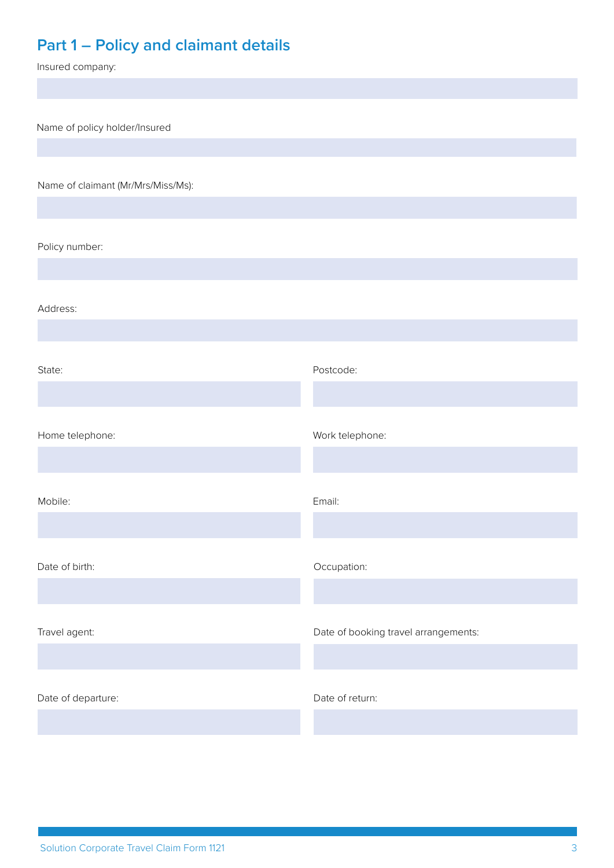# **Part 1 – Policy and claimant details**

Insured company:

Name of policy holder/Insured

Name of claimant (Mr/Mrs/Miss/Ms):

Policy number:

Address:

State: Postcode: Date of birth:  $Occupation:$ Home telephone: Work telephone: Travel agent: Travel agent: Travel agent: Date of booking travel arrangements: Mobile: Email: Date of departure:  $\Box$  Date of return: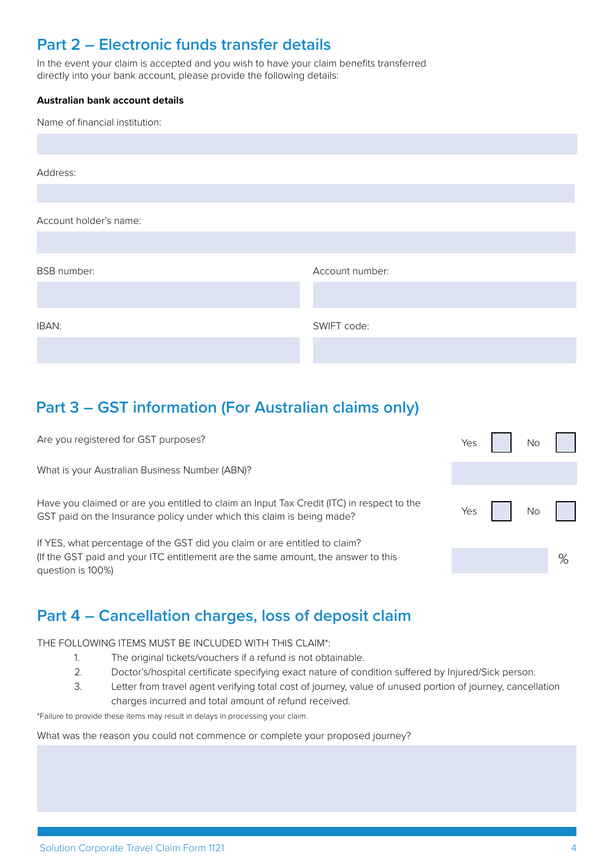# **Part 2 – Electronic funds transfer details**

In the event your claim is accepted and you wish to have your claim benefits transferred directly into your bank account, please provide the following details:

#### **Australian bank account details**

| Name of financial institution: |                 |
|--------------------------------|-----------------|
|                                |                 |
| Address:                       |                 |
|                                |                 |
| Account holder's name:         |                 |
|                                |                 |
| <b>BSB</b> number:             | Account number: |
|                                |                 |
| IBAN:                          | SWIFT code:     |
|                                |                 |

# **Part 3 – GST information (For Australian claims only)**

Are you registered for GST purposes?

What is your Australian Business Number (ABN)?

Have you claimed or are you entitled to claim an Input Tax Credit (ITC) in respect to the GST paid on the Insurance policy under which this claim is being made?

If YES, what percentage of the GST did you claim or are entitled to claim? (If the GST paid and your ITC entitlement are the same amount, the answer to this question is 100%)

# **Part 4 – Cancellation charges, loss of deposit claim**

THE FOLLOWING ITEMS MUST BE INCLUDED WITH THIS CLAIM\*:

- 1. The original tickets/vouchers if a refund is not obtainable.
- 2. Doctor's/hospital certificate specifying exact nature of condition suffered by Injured/Sick person.
- 3. Letter from travel agent verifying total cost of journey, value of unused portion of journey, cancellation charges incurred and total amount of refund received.

\*Failure to provide these items may result in delays in processing your claim.

What was the reason you could not commence or complete your proposed journey?

| Yes | <b>No</b> |   |
|-----|-----------|---|
|     |           |   |
| Yes | No        |   |
|     |           | % |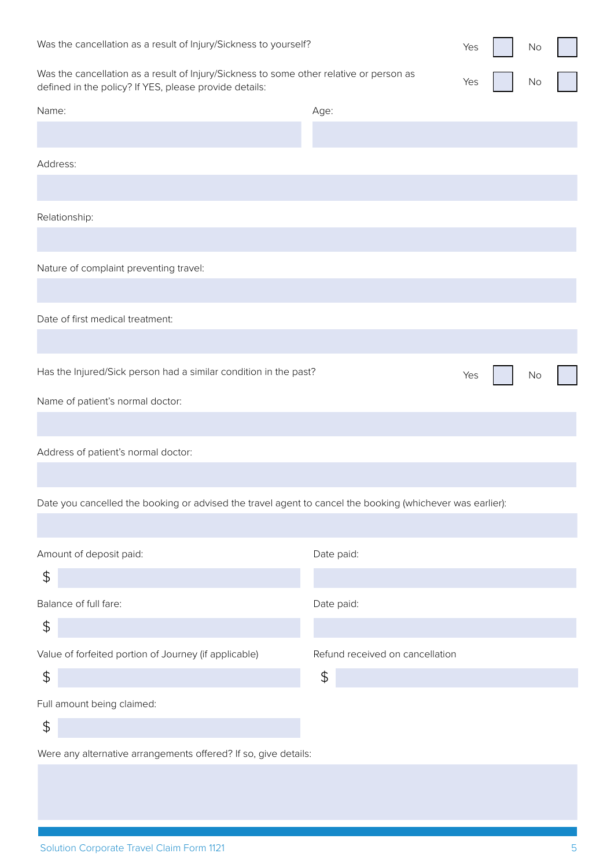| Was the cancellation as a result of Injury/Sickness to yourself?                                                                                  |                                       | Yes | No |  |
|---------------------------------------------------------------------------------------------------------------------------------------------------|---------------------------------------|-----|----|--|
| Was the cancellation as a result of Injury/Sickness to some other relative or person as<br>defined in the policy? If YES, please provide details: |                                       | Yes | No |  |
| Name:                                                                                                                                             | Age:                                  |     |    |  |
|                                                                                                                                                   |                                       |     |    |  |
| Address:                                                                                                                                          |                                       |     |    |  |
|                                                                                                                                                   |                                       |     |    |  |
| Relationship:                                                                                                                                     |                                       |     |    |  |
|                                                                                                                                                   |                                       |     |    |  |
| Nature of complaint preventing travel:                                                                                                            |                                       |     |    |  |
|                                                                                                                                                   |                                       |     |    |  |
| Date of first medical treatment:                                                                                                                  |                                       |     |    |  |
|                                                                                                                                                   |                                       |     |    |  |
| Has the Injured/Sick person had a similar condition in the past?                                                                                  |                                       | Yes | No |  |
| Name of patient's normal doctor:                                                                                                                  |                                       |     |    |  |
|                                                                                                                                                   |                                       |     |    |  |
| Address of patient's normal doctor:                                                                                                               |                                       |     |    |  |
|                                                                                                                                                   |                                       |     |    |  |
| Date you cancelled the booking or advised the travel agent to cancel the booking (whichever was earlier):                                         |                                       |     |    |  |
|                                                                                                                                                   |                                       |     |    |  |
| Amount of deposit paid:                                                                                                                           | Date paid:                            |     |    |  |
| $\updownarrow$                                                                                                                                    |                                       |     |    |  |
| Balance of full fare:<br>$\frac{4}{5}$                                                                                                            | Date paid:                            |     |    |  |
|                                                                                                                                                   |                                       |     |    |  |
| Value of forfeited portion of Journey (if applicable)<br>$\updownarrow$                                                                           | Refund received on cancellation<br>\$ |     |    |  |
| Full amount being claimed:                                                                                                                        |                                       |     |    |  |
| $\updownarrow$                                                                                                                                    |                                       |     |    |  |
| Were any alternative arrangements offered? If so, give details:                                                                                   |                                       |     |    |  |
|                                                                                                                                                   |                                       |     |    |  |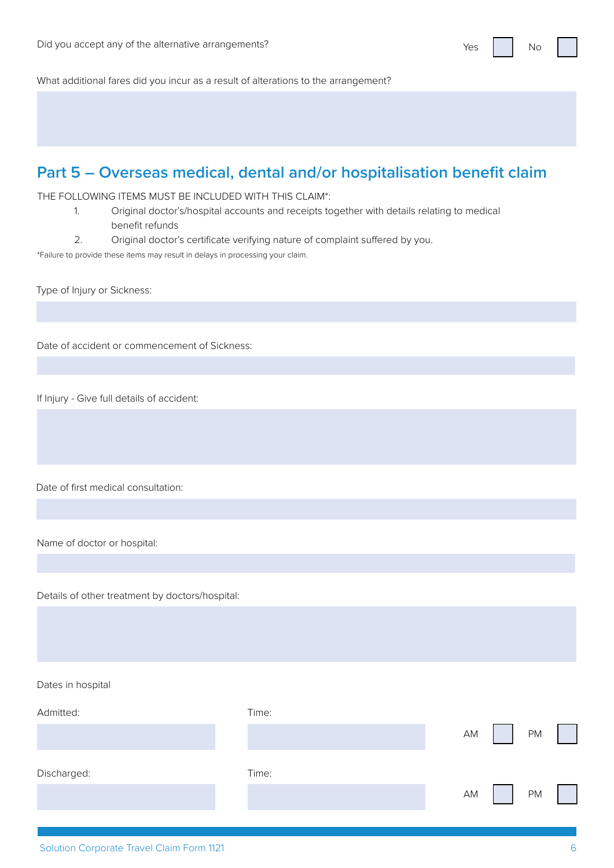What additional fares did you incur as a result of alterations to the arrangement?

#### **Part 5 – Overseas medical, dental and/or hospitalisation benefit claim**

THE FOLLOWING ITEMS MUST BE INCLUDED WITH THIS CLAIM\*:

- 1. Original doctor's/hospital accounts and receipts together with details relating to medical benefit refunds
- 2. Original doctor's certificate verifying nature of complaint suffered by you.

\*Failure to provide these items may result in delays in processing your claim.

Type of Injury or Sickness:

Date of accident or commencement of Sickness:

If Injury - Give full details of accident:

Date of first medical consultation:

Name of doctor or hospital:

Details of other treatment by doctors/hospital:

Dates in hospital

Admitted:

Discharged:

| Time: |       |  |
|-------|-------|--|
|       | AM PM |  |
| Time: |       |  |
|       | AM PM |  |
|       |       |  |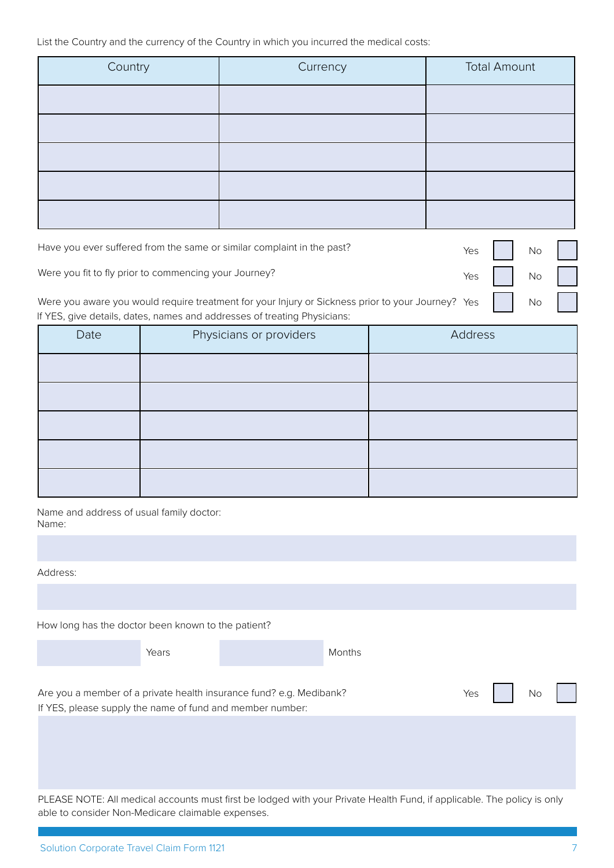List the Country and the currency of the Country in which you incurred the medical costs:

| Country | Currency | <b>Total Amount</b> |
|---------|----------|---------------------|
|         |          |                     |
|         |          |                     |
|         |          |                     |
|         |          |                     |
|         |          |                     |

| Have you ever suffered from the same or similar complaint in the past?                                                                                                                 | $Yes$ $No$ $ $ |  |
|----------------------------------------------------------------------------------------------------------------------------------------------------------------------------------------|----------------|--|
| Were you fit to fly prior to commencing your Journey?                                                                                                                                  | $Yes \tNo$     |  |
| Were you aware you would require treatment for your Injury or Sickness prior to your Journey? Yes   No    <br>If YES, give details, dates, names and addresses of treating Physicians: |                |  |

| Date | Physicians or providers | Address |
|------|-------------------------|---------|
|      |                         |         |
|      |                         |         |
|      |                         |         |
|      |                         |         |
|      |                         |         |

Name and address of usual family doctor: Name:

| Address:                                                                                                                         |  |        |     |     |  |
|----------------------------------------------------------------------------------------------------------------------------------|--|--------|-----|-----|--|
|                                                                                                                                  |  |        |     |     |  |
| How long has the doctor been known to the patient?                                                                               |  |        |     |     |  |
| Years                                                                                                                            |  | Months |     |     |  |
|                                                                                                                                  |  |        |     |     |  |
| Are you a member of a private health insurance fund? e.g. Medibank?<br>If YES, please supply the name of fund and member number: |  |        | Yes | No. |  |
|                                                                                                                                  |  |        |     |     |  |
|                                                                                                                                  |  |        |     |     |  |
|                                                                                                                                  |  |        |     |     |  |
| PLEASE NOTE: All medical accounts must first be lodged with your Private Health Fund, if applicable. The policy is only          |  |        |     |     |  |

able to consider Non-Medicare claimable expenses.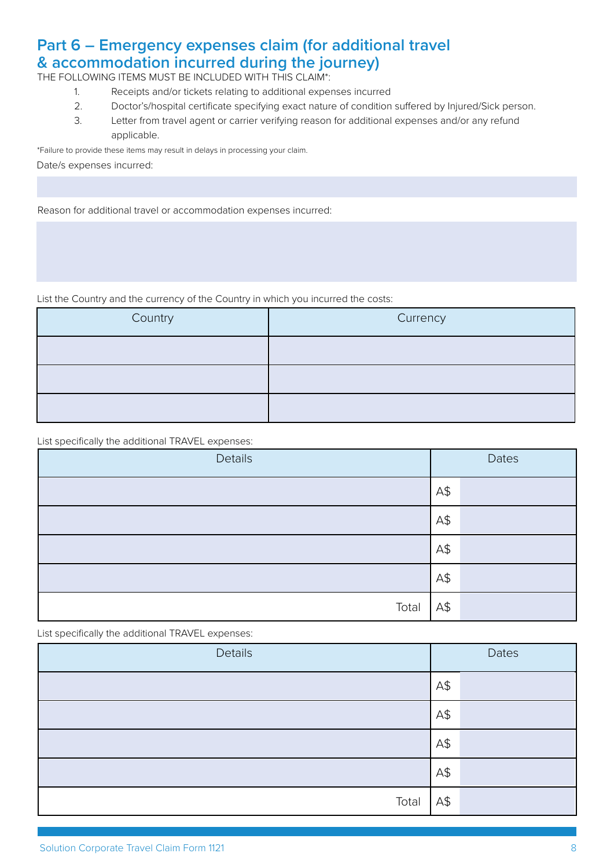#### **Part 6 – Emergency expenses claim (for additional travel & accommodation incurred during the journey)**

THE FOLLOWING ITEMS MUST BE INCLUDED WITH THIS CLAIM\*:

- 1. Receipts and/or tickets relating to additional expenses incurred
- 2. Doctor's/hospital certificate specifying exact nature of condition suffered by Injured/Sick person.
- 3. Letter from travel agent or carrier verifying reason for additional expenses and/or any refund applicable.

\*Failure to provide these items may result in delays in processing your claim.

Date/s expenses incurred:

Reason for additional travel or accommodation expenses incurred:

List the Country and the currency of the Country in which you incurred the costs:

| Country | Currency |
|---------|----------|
|         |          |
|         |          |
|         |          |

List specifically the additional TRAVEL expenses:

| Details |     | Dates |
|---------|-----|-------|
|         | A\$ |       |
|         | A\$ |       |
|         | A\$ |       |
|         | A\$ |       |
| Total   | A\$ |       |

List specifically the additional TRAVEL expenses:

| Details |     | Dates |
|---------|-----|-------|
|         | A\$ |       |
|         | A\$ |       |
|         | A\$ |       |
|         | A\$ |       |
| Total   | A\$ |       |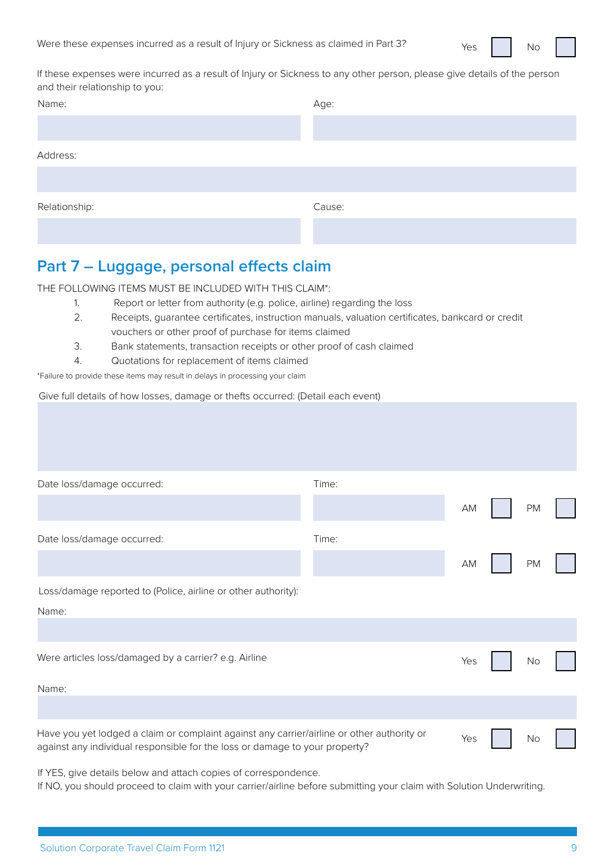If these expenses were incurred as a result of Injury or Sickness to any other person, please give details of the person and their relationship to you:

| Name:         | Age:   |
|---------------|--------|
|               |        |
| Address:      |        |
|               |        |
| Relationship: | Cause: |
|               |        |

# **Part 7 – Luggage, personal effects claim**

THE FOLLOWING ITEMS MUST BE INCLUDED WITH THIS CLAIM\*:

- 1. Report or letter from authority (e.g. police, airline) regarding the loss
	- 2. Receipts, guarantee certificates, instruction manuals, valuation certificates, bankcard or credit vouchers or other proof of purchase for items claimed
	- 3. Bank statements, transaction receipts or other proof of cash claimed
- 4. Quotations for replacement of items claimed

\*Failure to provide these items may result in delays in processing your claim

Give full details of how losses, damage or thefts occurred: (Detail each event)

| Date loss/damage occurred:                                                                                                                                                | Time: |     |           |  |
|---------------------------------------------------------------------------------------------------------------------------------------------------------------------------|-------|-----|-----------|--|
|                                                                                                                                                                           |       | AM  | <b>PM</b> |  |
| Date loss/damage occurred:                                                                                                                                                | Time: |     |           |  |
|                                                                                                                                                                           |       | AM  | <b>PM</b> |  |
| Loss/damage reported to (Police, airline or other authority):                                                                                                             |       |     |           |  |
| Name:                                                                                                                                                                     |       |     |           |  |
|                                                                                                                                                                           |       |     |           |  |
| Were articles loss/damaged by a carrier? e.g. Airline                                                                                                                     |       | Yes | No        |  |
| Name:                                                                                                                                                                     |       |     |           |  |
|                                                                                                                                                                           |       |     |           |  |
| Have you yet lodged a claim or complaint against any carrier/airline or other authority or<br>against any individual responsible for the loss or damage to your property? |       | Yes | No        |  |

If YES, give details below and attach copies of correspondence.

If NO, you should proceed to claim with your carrier/airline before submitting your claim with Solution Underwriting.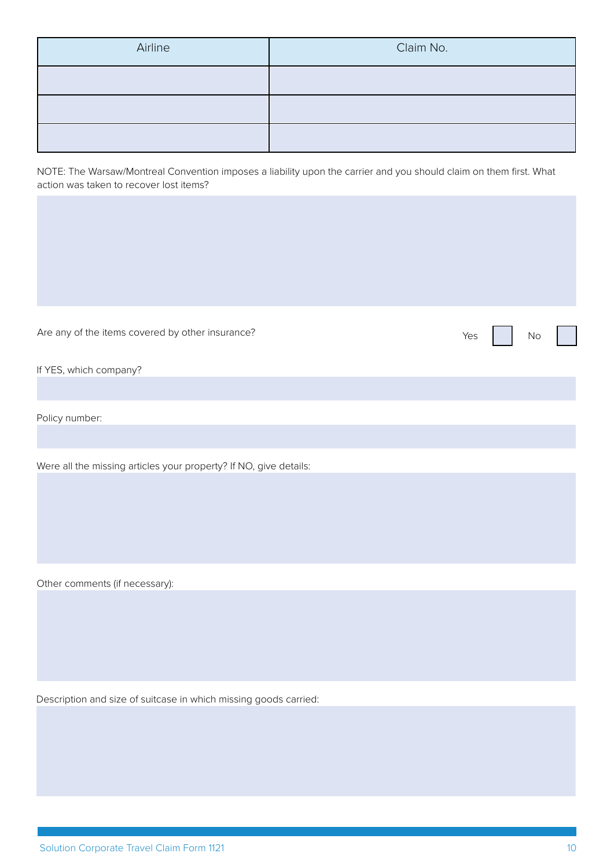| Airline | Claim No. |
|---------|-----------|
|         |           |
|         |           |
|         |           |

NOTE: The Warsaw/Montreal Convention imposes a liability upon the carrier and you should claim on them first. What action was taken to recover lost items?

| Are any of the items covered by other insurance?                  | Yes | <b>No</b> |  |
|-------------------------------------------------------------------|-----|-----------|--|
| If YES, which company?                                            |     |           |  |
| Policy number:                                                    |     |           |  |
| Were all the missing articles your property? If NO, give details: |     |           |  |
| Other comments (if necessary):                                    |     |           |  |

Description and size of suitcase in which missing goods carried: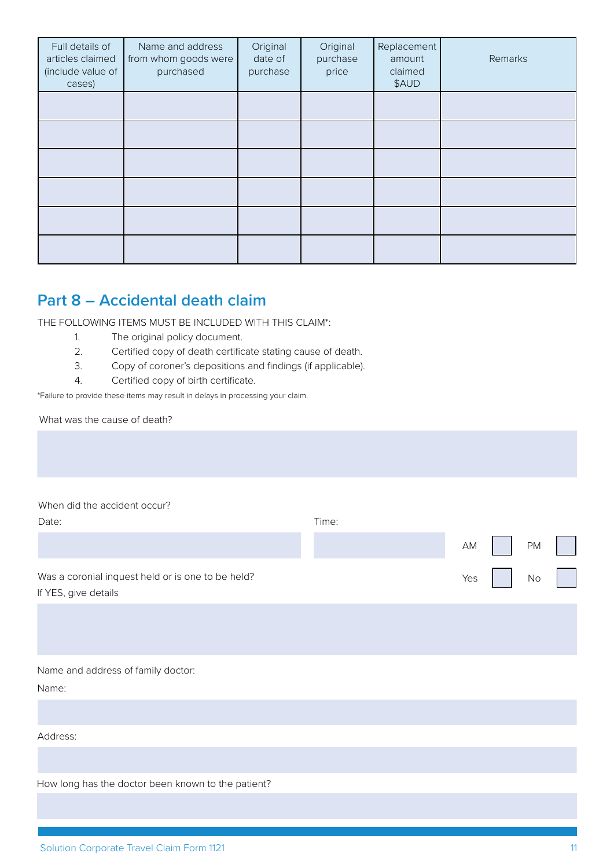| Full details of<br>articles claimed<br>(include value of<br>cases) | Name and address<br>from whom goods were<br>purchased | Original<br>date of<br>purchase | Original<br>purchase<br>price | Replacement<br>amount<br>claimed<br>\$AUD | Remarks |
|--------------------------------------------------------------------|-------------------------------------------------------|---------------------------------|-------------------------------|-------------------------------------------|---------|
|                                                                    |                                                       |                                 |                               |                                           |         |
|                                                                    |                                                       |                                 |                               |                                           |         |
|                                                                    |                                                       |                                 |                               |                                           |         |
|                                                                    |                                                       |                                 |                               |                                           |         |
|                                                                    |                                                       |                                 |                               |                                           |         |
|                                                                    |                                                       |                                 |                               |                                           |         |

#### **Part 8 – Accidental death claim**

THE FOLLOWING ITEMS MUST BE INCLUDED WITH THIS CLAIM\*:

- 1. The original policy document.
- 2. Certified copy of death certificate stating cause of death.
- 3. Copy of coroner's depositions and findings (if applicable).
- 4. Certified copy of birth certificate.

\*Failure to provide these items may result in delays in processing your claim.

What was the cause of death?

When did the accident occur?

| Date:                                                                     | Time: |     |  |      |
|---------------------------------------------------------------------------|-------|-----|--|------|
|                                                                           |       | AM  |  | $PM$ |
| Was a coronial inquest held or is one to be held?<br>If YES, give details |       | Yes |  | $No$ |
|                                                                           |       |     |  |      |
|                                                                           |       |     |  |      |

Name and address of family doctor:

Name:

Address:

How long has the doctor been known to the patient?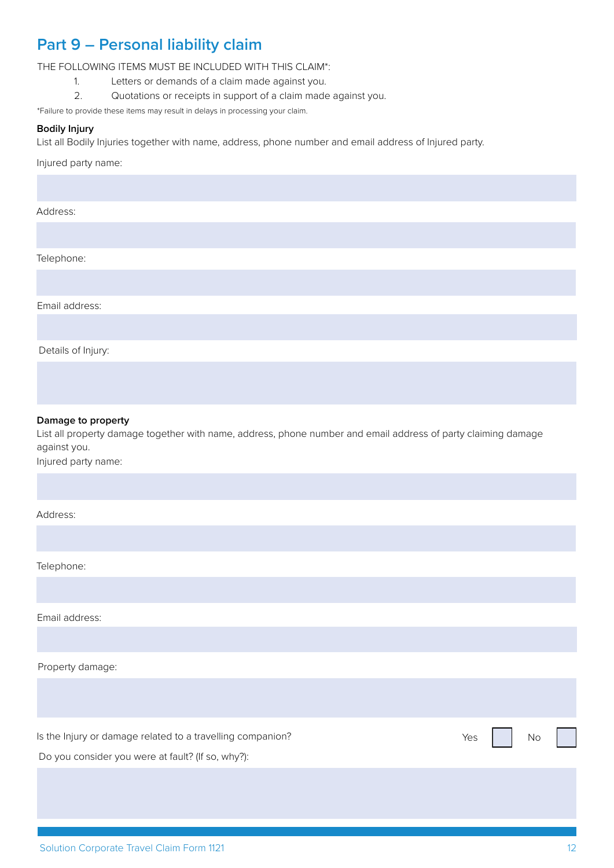### **Part 9 – Personal liability claim**

THE FOLLOWING ITEMS MUST BE INCLUDED WITH THIS CLAIM\*:

- 1. Letters or demands of a claim made against you.
- 2. Quotations or receipts in support of a claim made against you.

\*Failure to provide these items may result in delays in processing your claim.

#### **Bodily Injury**

List all Bodily Injuries together with name, address, phone number and email address of Injured party.

Injured party name:

#### Address:

Telephone:

Email address:

Details of Injury:

#### **Damage to property**

List all property damage together with name, address, phone number and email address of party claiming damage against you.

Injured party name:

Address:

Telephone:

Email address:

Property damage:

Is the Injury or damage related to a travelling companion? The Most Companion of the Injury or damage related to a travelling companion?

Do you consider you were at fault? (If so, why?):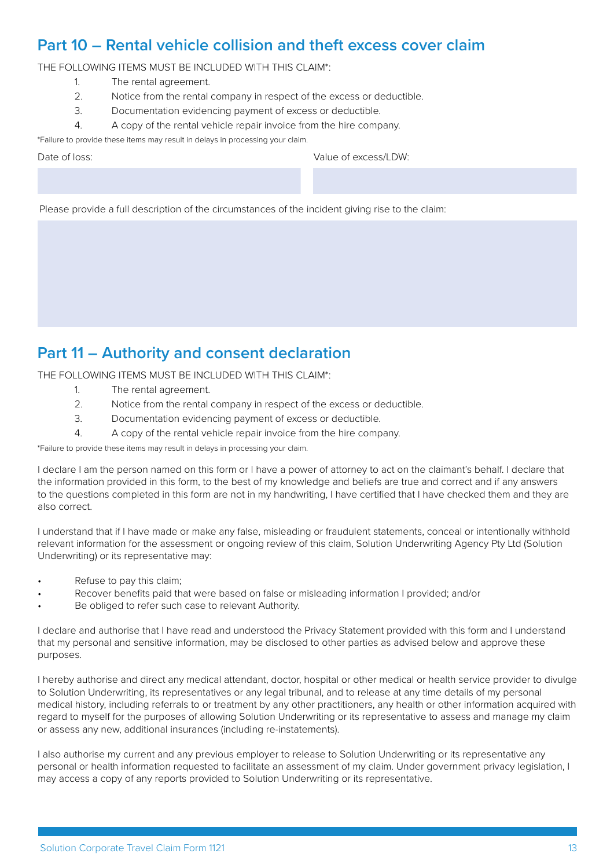#### **Part 10 – Rental vehicle collision and theft excess cover claim**

THE FOLLOWING ITEMS MUST BE INCLUDED WITH THIS CLAIM\*:

- 1. The rental agreement.
- 2. Notice from the rental company in respect of the excess or deductible.
- 3. Documentation evidencing payment of excess or deductible.
- 4. A copy of the rental vehicle repair invoice from the hire company.

\*Failure to provide these items may result in delays in processing your claim.

Date of loss: Value of excess/LDW:

Please provide a full description of the circumstances of the incident giving rise to the claim:

#### **Part 11 – Authority and consent declaration**

THE FOLLOWING ITEMS MUST BE INCLUDED WITH THIS CLAIM\*:

- 1. The rental agreement.
- 2. Notice from the rental company in respect of the excess or deductible.
- 3. Documentation evidencing payment of excess or deductible.
- 4. A copy of the rental vehicle repair invoice from the hire company.

\*Failure to provide these items may result in delays in processing your claim.

I declare I am the person named on this form or I have a power of attorney to act on the claimant's behalf. I declare that the information provided in this form, to the best of my knowledge and beliefs are true and correct and if any answers to the questions completed in this form are not in my handwriting, I have certified that I have checked them and they are also correct.

I understand that if I have made or make any false, misleading or fraudulent statements, conceal or intentionally withhold relevant information for the assessment or ongoing review of this claim, Solution Underwriting Agency Pty Ltd (Solution Underwriting) or its representative may:

- Refuse to pay this claim;
- Recover benefits paid that were based on false or misleading information I provided; and/or
- Be obliged to refer such case to relevant Authority.

I declare and authorise that I have read and understood the Privacy Statement provided with this form and I understand that my personal and sensitive information, may be disclosed to other parties as advised below and approve these purposes.

I hereby authorise and direct any medical attendant, doctor, hospital or other medical or health service provider to divulge to Solution Underwriting, its representatives or any legal tribunal, and to release at any time details of my personal medical history, including referrals to or treatment by any other practitioners, any health or other information acquired with regard to myself for the purposes of allowing Solution Underwriting or its representative to assess and manage my claim or assess any new, additional insurances (including re-instatements).

I also authorise my current and any previous employer to release to Solution Underwriting or its representative any personal or health information requested to facilitate an assessment of my claim. Under government privacy legislation, I may access a copy of any reports provided to Solution Underwriting or its representative.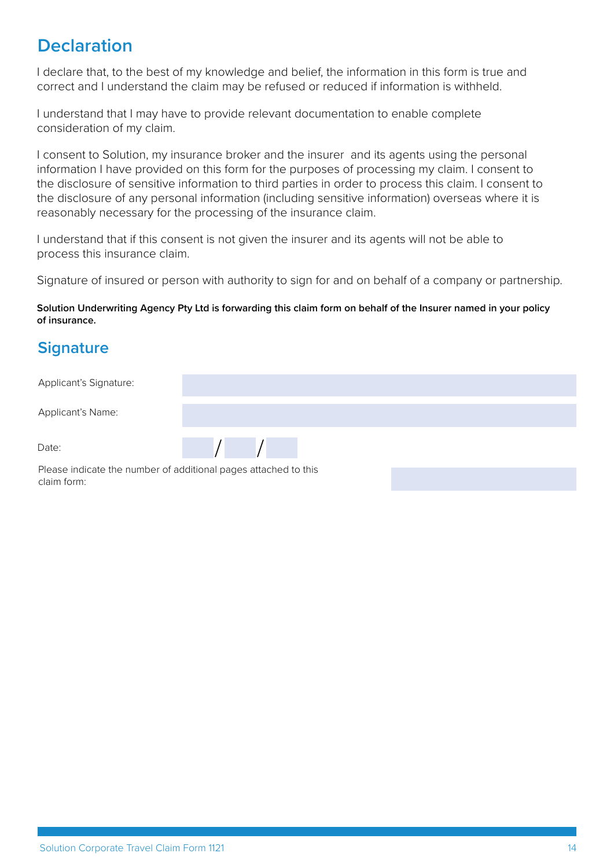# **Declaration**

I declare that, to the best of my knowledge and belief, the information in this form is true and correct and I understand the claim may be refused or reduced if information is withheld.

I understand that I may have to provide relevant documentation to enable complete consideration of my claim.

I consent to Solution, my insurance broker and the insurer and its agents using the personal information I have provided on this form for the purposes of processing my claim. I consent to the disclosure of sensitive information to third parties in order to process this claim. I consent to the disclosure of any personal information (including sensitive information) overseas where it is reasonably necessary for the processing of the insurance claim.

I understand that if this consent is not given the insurer and its agents will not be able to process this insurance claim.

Signature of insured or person with authority to sign for and on behalf of a company or partnership.

#### **Solution Underwriting Agency Pty Ltd is forwarding this claim form on behalf of the Insurer named in your policy of insurance.**

### **Signature**

Applicant's Signature:

Applicant's Name:

Date:



Please indicate the number of additional pages attached to this claim form: